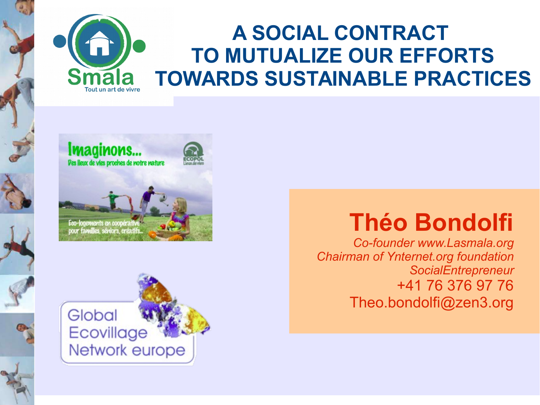







*Co-founder [www.Lasmala.org](http://www.Lasmala.org/) Chairman of Ynternet.org foundation SocialEntrepreneur* +41 76 376 97 76 Theo.bondolfi@zen3.org

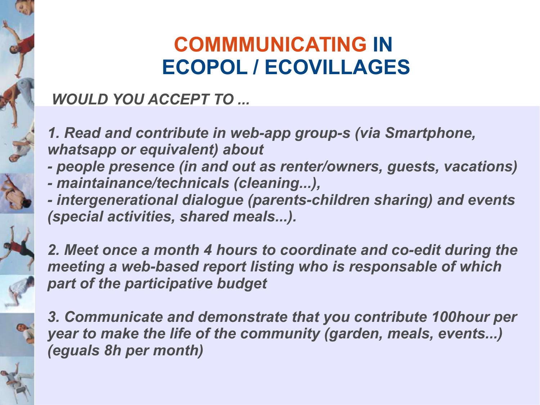## **COMMMUNICATING IN ECOPOL / ECOVILLAGES**

### *WOULD YOU ACCEPT TO ...*

*1. Read and contribute in web-app group-s (via Smartphone, whatsapp or equivalent) about*

- *people presence (in and out as renter/owners, guests, vacations)*
- *maintainance/technicals (cleaning...),*
- *intergenerational dialogue (parents-children sharing) and events (special activities, shared meals...).*

*2. Meet once a month 4 hours to coordinate and co-edit during the meeting a web-based report listing who is responsable of which part of the participative budget*

*3. Communicate and demonstrate that you contribute 100hour per year to make the life of the community (garden, meals, events...) (eguals 8h per month)*

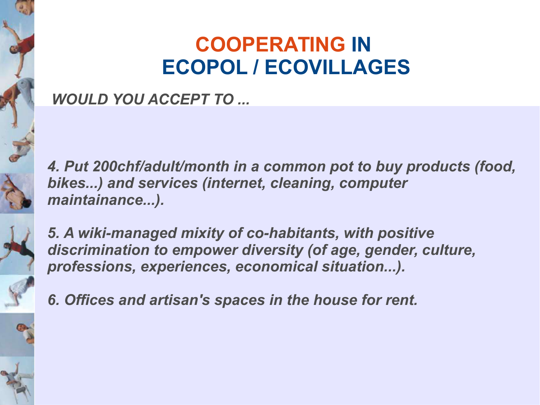## **COOPERATING IN ECOPOL / ECOVILLAGES**

#### *WOULD YOU ACCEPT TO ...*

*4. Put 200chf/adult/month in a common pot to buy products (food, bikes...) and services (internet, cleaning, computer maintainance...).*



*5. A wiki-managed mixity of co-habitants, with positive discrimination to empower diversity (of age, gender, culture, professions, experiences, economical situation...).*



*6. Offices and artisan's spaces in the house for rent.*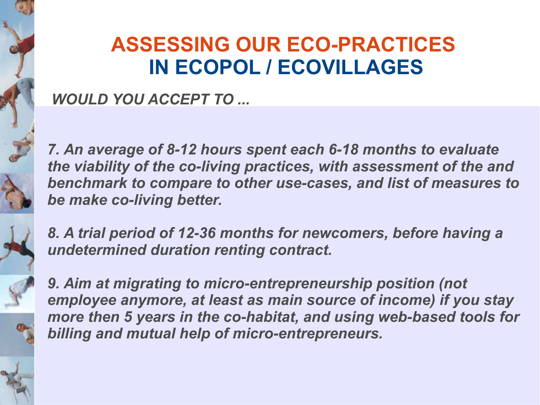## **ASSESSING OUR ECO-PRACTICES IN ECOPOL / ECOVILLAGES**

#### *WOULD YOU ACCEPT TO ...*

*7. An average of 8-12 hours spent each 6-18 months to evaluate the viability of the co-living practices, with assessment of the and benchmark to compare to other use-cases, and list of measures to be make co-living better.*



*8. A trial period of 12-36 months for newcomers, before having a undetermined duration renting contract.*



**9. Aim at migrating to micro-entrepreneurship position (not** *employee anymore, at least as main source of income) if you stay more then 5 years in the co-habitat, and using web-based tools for billing and mutual help of micro-entrepreneurs.*